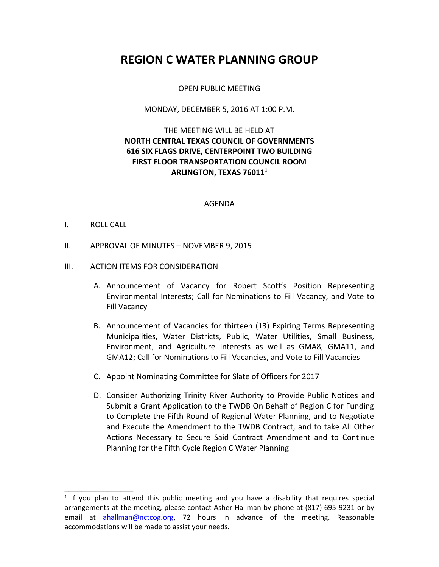# **REGION C WATER PLANNING GROUP**

#### OPEN PUBLIC MEETING

#### MONDAY, DECEMBER 5, 2016 AT 1:00 P.M.

# THE MEETING WILL BE HELD AT **NORTH CENTRAL TEXAS COUNCIL OF GOVERNMENTS 616 SIX FLAGS DRIVE, CENTERPOINT TWO BUILDING FIRST FLOOR TRANSPORTATION COUNCIL ROOM ARLINGTON, TEXAS 76011<sup>1</sup>**

#### AGENDA

#### I. ROLL CALL

\_\_\_\_\_\_\_\_\_\_\_\_\_\_\_\_

II. APPROVAL OF MINUTES – NOVEMBER 9, 2015

#### III. ACTION ITEMS FOR CONSIDERATION

- A. Announcement of Vacancy for Robert Scott's Position Representing Environmental Interests; Call for Nominations to Fill Vacancy, and Vote to Fill Vacancy
- B. Announcement of Vacancies for thirteen (13) Expiring Terms Representing Municipalities, Water Districts, Public, Water Utilities, Small Business, Environment, and Agriculture Interests as well as GMA8, GMA11, and GMA12; Call for Nominations to Fill Vacancies, and Vote to Fill Vacancies
- C. Appoint Nominating Committee for Slate of Officers for 2017
- D. Consider Authorizing Trinity River Authority to Provide Public Notices and Submit a Grant Application to the TWDB On Behalf of Region C for Funding to Complete the Fifth Round of Regional Water Planning, and to Negotiate and Execute the Amendment to the TWDB Contract, and to take All Other Actions Necessary to Secure Said Contract Amendment and to Continue Planning for the Fifth Cycle Region C Water Planning

<sup>&</sup>lt;sup>1</sup> If you plan to attend this public meeting and you have a disability that requires special arrangements at the meeting, please contact Asher Hallman by phone at (817) 695-9231 or by email at [ahallman@nctcog.org,](mailto:ahallman@nctcog.org) 72 hours in advance of the meeting. Reasonable accommodations will be made to assist your needs.